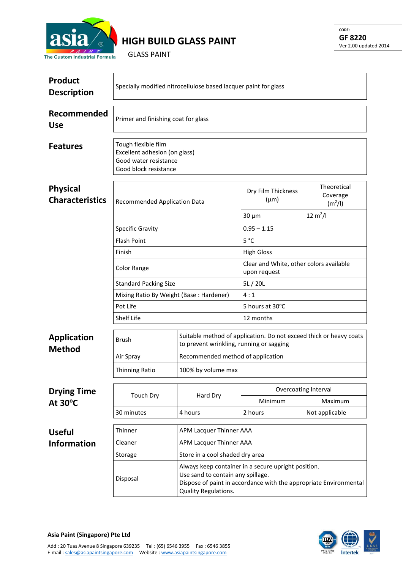

## **HIGH BUILD GLASS PAINT**

GLASS PAINT

| <b>Product</b><br><b>Description</b>      | Specially modified nitrocellulose based lacquer paint for glass                                        |                                                                                                                |                                                                                                        |                                                |  |  |
|-------------------------------------------|--------------------------------------------------------------------------------------------------------|----------------------------------------------------------------------------------------------------------------|--------------------------------------------------------------------------------------------------------|------------------------------------------------|--|--|
| Recommended<br><b>Use</b>                 | Primer and finishing coat for glass                                                                    |                                                                                                                |                                                                                                        |                                                |  |  |
| <b>Features</b>                           | Tough flexible film<br>Excellent adhesion (on glass)<br>Good water resistance<br>Good block resistance |                                                                                                                |                                                                                                        |                                                |  |  |
| <b>Physical</b><br><b>Characteristics</b> | Recommended Application Data                                                                           |                                                                                                                | Dry Film Thickness<br>$(\mu m)$                                                                        | Theoretical<br>Coverage<br>(m <sup>2</sup> /I) |  |  |
|                                           |                                                                                                        |                                                                                                                | $30 \mu m$                                                                                             | $12 \text{ m}^2$ /l                            |  |  |
|                                           | <b>Specific Gravity</b><br><b>Flash Point</b><br>Finish                                                |                                                                                                                | $0.95 - 1.15$                                                                                          |                                                |  |  |
|                                           |                                                                                                        |                                                                                                                | 5 °C                                                                                                   |                                                |  |  |
|                                           |                                                                                                        |                                                                                                                | <b>High Gloss</b>                                                                                      |                                                |  |  |
|                                           | Color Range                                                                                            |                                                                                                                | Clear and White, other colors available<br>upon request                                                |                                                |  |  |
|                                           | <b>Standard Packing Size</b>                                                                           |                                                                                                                | 5L/20L                                                                                                 |                                                |  |  |
|                                           | Mixing Ratio By Weight (Base: Hardener)<br>Pot Life                                                    |                                                                                                                | 4:1                                                                                                    |                                                |  |  |
|                                           |                                                                                                        |                                                                                                                | 5 hours at 30°C                                                                                        |                                                |  |  |
|                                           | Shelf Life                                                                                             |                                                                                                                | 12 months                                                                                              |                                                |  |  |
| <b>Application</b><br><b>Method</b>       | Brush                                                                                                  | Suitable method of application. Do not exceed thick or heavy coats<br>to prevent wrinkling, running or sagging |                                                                                                        |                                                |  |  |
|                                           | Air Spray                                                                                              | Recommended method of application                                                                              |                                                                                                        |                                                |  |  |
|                                           | <b>Thinning Ratio</b>                                                                                  | 100% by volume max                                                                                             |                                                                                                        |                                                |  |  |
| <b>Drying Time</b><br>At $30^{\circ}$ C   |                                                                                                        | Hard Dry                                                                                                       | Overcoating Interval                                                                                   |                                                |  |  |
|                                           | <b>Touch Dry</b>                                                                                       |                                                                                                                | Minimum                                                                                                | Maximum                                        |  |  |
|                                           | 30 minutes                                                                                             | 4 hours                                                                                                        | 2 hours                                                                                                | Not applicable                                 |  |  |
|                                           | Thinner                                                                                                | APM Lacquer Thinner AAA                                                                                        |                                                                                                        |                                                |  |  |
| <b>Useful</b><br><b>Information</b>       | Cleaner                                                                                                | APM Lacquer Thinner AAA                                                                                        |                                                                                                        |                                                |  |  |
|                                           | Storage                                                                                                | Store in a cool shaded dry area                                                                                |                                                                                                        |                                                |  |  |
|                                           |                                                                                                        | Always keep container in a secure upright position.                                                            |                                                                                                        |                                                |  |  |
|                                           | Disposal                                                                                               | Quality Regulations.                                                                                           | Use sand to contain any spillage.<br>Dispose of paint in accordance with the appropriate Environmental |                                                |  |  |



**Asia Paint (Singapore) Pte Ltd**